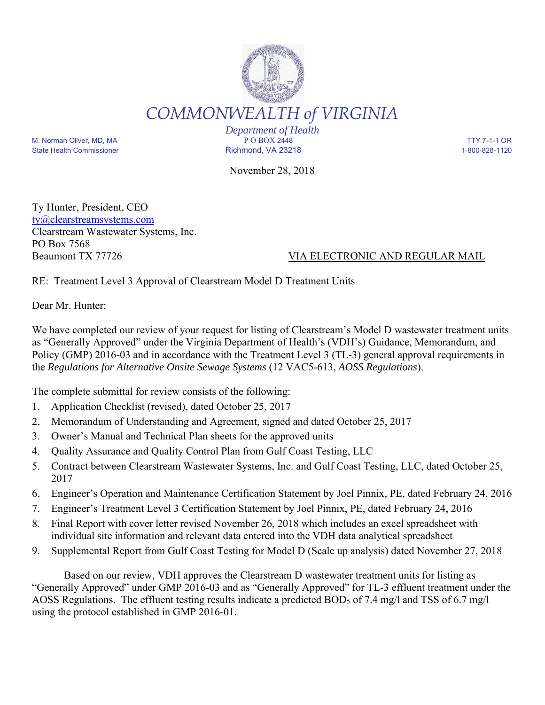

*Department of Health* M. Norman Oliver, MD, MA P O BOX 2448 TTY 7-1-1 OR State Health Commissioner and the Richmond, VA 23218 1-800-828-1120

November 28, 2018

Ty Hunter, President, CEO ty@clearstreamsystems.com Clearstream Wastewater Systems, Inc. PO Box 7568

## Beaumont TX 77726 VIA ELECTRONIC AND REGULAR MAIL

RE: Treatment Level 3 Approval of Clearstream Model D Treatment Units

Dear Mr. Hunter:

We have completed our review of your request for listing of Clearstream's Model D wastewater treatment units as "Generally Approved" under the Virginia Department of Health's (VDH's) Guidance, Memorandum, and Policy (GMP) 2016-03 and in accordance with the Treatment Level 3 (TL-3) general approval requirements in the *Regulations for Alternative Onsite Sewage Systems* (12 VAC5-613, *AOSS Regulations*).

The complete submittal for review consists of the following:

- 1. Application Checklist (revised), dated October 25, 2017
- 2. Memorandum of Understanding and Agreement, signed and dated October 25, 2017
- 3. Owner's Manual and Technical Plan sheets for the approved units
- 4. Quality Assurance and Quality Control Plan from Gulf Coast Testing, LLC
- 5. Contract between Clearstream Wastewater Systems, Inc. and Gulf Coast Testing, LLC, dated October 25, 2017
- 6. Engineer's Operation and Maintenance Certification Statement by Joel Pinnix, PE, dated February 24, 2016
- 7. Engineer's Treatment Level 3 Certification Statement by Joel Pinnix, PE, dated February 24, 2016
- 8. Final Report with cover letter revised November 26, 2018 which includes an excel spreadsheet with individual site information and relevant data entered into the VDH data analytical spreadsheet
- 9. Supplemental Report from Gulf Coast Testing for Model D (Scale up analysis) dated November 27, 2018

 Based on our review, VDH approves the Clearstream D wastewater treatment units for listing as "Generally Approved" under GMP 2016-03 and as "Generally Approved" for TL-3 effluent treatment under the AOSS Regulations. The effluent testing results indicate a predicted BOD<sub>5</sub> of 7.4 mg/l and TSS of 6.7 mg/l using the protocol established in GMP 2016-01.